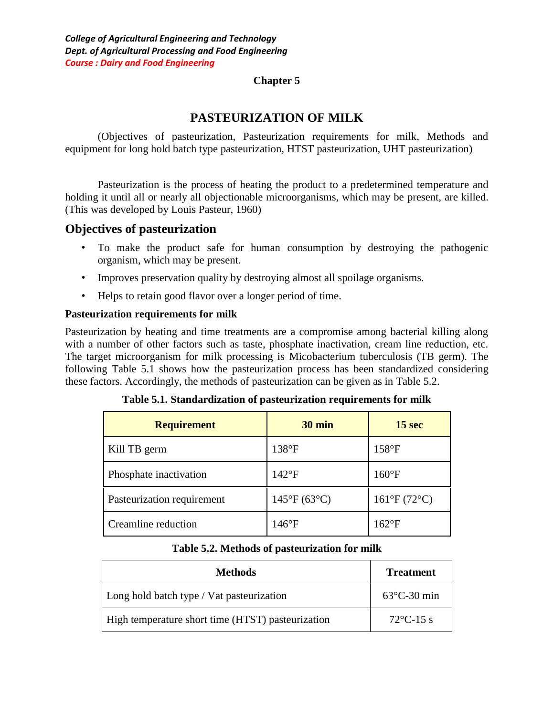#### **Chapter 5**

## **PASTEURIZATION OF MILK**

(Objectives of pasteurization, Pasteurization requirements for milk, Methods and equipment for long hold batch type pasteurization, HTST pasteurization, UHT pasteurization)

Pasteurization is the process of heating the product to a predetermined temperature and holding it until all or nearly all objectionable microorganisms, which may be present, are killed. (This was developed by Louis Pasteur, 1960)

### **Objectives of pasteurization**

- To make the product safe for human consumption by destroying the pathogenic organism, which may be present.
- Improves preservation quality by destroying almost all spoilage organisms.
- Helps to retain good flavor over a longer period of time.

### **Pasteurization requirements for milk**

Pasteurization by heating and time treatments are a compromise among bacterial killing along with a number of other factors such as taste, phosphate inactivation, cream line reduction, etc. The target microorganism for milk processing is Micobacterium tuberculosis (TB germ). The following Table 5.1 shows how the pasteurization process has been standardized considering these factors. Accordingly, the methods of pasteurization can be given as in Table 5.2.

| <b>Requirement</b>         | 30 min                      | 15 sec                      |
|----------------------------|-----------------------------|-----------------------------|
| Kill TB germ               | 138°F                       | $158^{\circ}F$              |
| Phosphate inactivation     | $142^{\circ}F$              | $160^{\circ}F$              |
| Pasteurization requirement | $145^{\circ}F(63^{\circ}C)$ | $161^{\circ}F(72^{\circ}C)$ |
| Creamline reduction        | $146^{\circ}F$              | $162$ °F                    |

**Table 5.1. Standardization of pasteurization requirements for milk**

### **Table 5.2. Methods of pasteurization for milk**

| <b>Methods</b>                                    | <b>Treatment</b>      |
|---------------------------------------------------|-----------------------|
| Long hold batch type / Vat pasteurization         | $63^{\circ}$ C-30 min |
| High temperature short time (HTST) pasteurization | $72^{\circ}$ C-15 s   |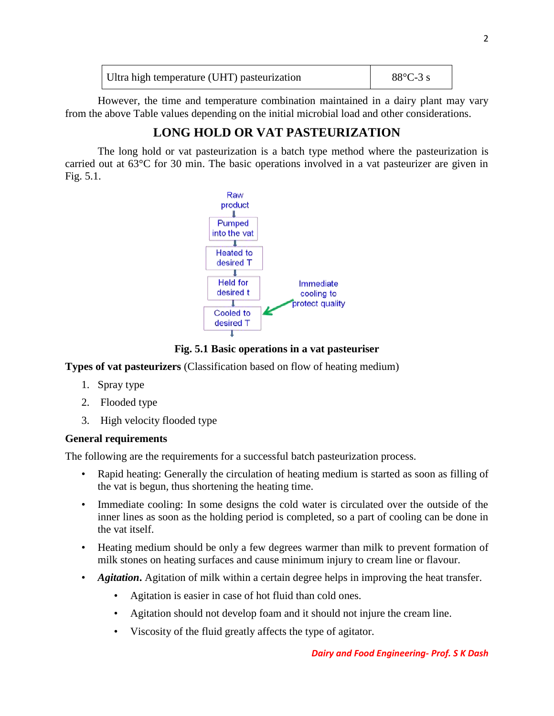| Ultra high temperature (UHT) pasteurization | $88^{\circ}$ C-3 s |
|---------------------------------------------|--------------------|
|                                             |                    |

However, the time and temperature combination maintained in a dairy plant may vary from the above Table values depending on the initial microbial load and other considerations.

# **LONG HOLD OR VAT PASTEURIZATION**

The long hold or vat pasteurization is a batch type method where the pasteurization is carried out at 63°C for 30 min. The basic operations involved in a vat pasteurizer are given in Fig. 5.1.



**Fig. 5.1 Basic operations in a vat pasteuriser**

**Types of vat pasteurizers** (Classification based on flow of heating medium)

- 1. Spray type
- 2. Flooded type
- 3. High velocity flooded type

### **General requirements**

The following are the requirements for a successful batch pasteurization process.

- Rapid heating: Generally the circulation of heating medium is started as soon as filling of the vat is begun, thus shortening the heating time.
- Immediate cooling: In some designs the cold water is circulated over the outside of the inner lines as soon as the holding period is completed, so a part of cooling can be done in the vat itself.
- Heating medium should be only a few degrees warmer than milk to prevent formation of milk stones on heating surfaces and cause minimum injury to cream line or flavour.
- *Agitation*, Agitation of milk within a certain degree helps in improving the heat transfer.
	- Agitation is easier in case of hot fluid than cold ones.
	- Agitation should not develop foam and it should not injure the cream line.
	- Viscosity of the fluid greatly affects the type of agitator.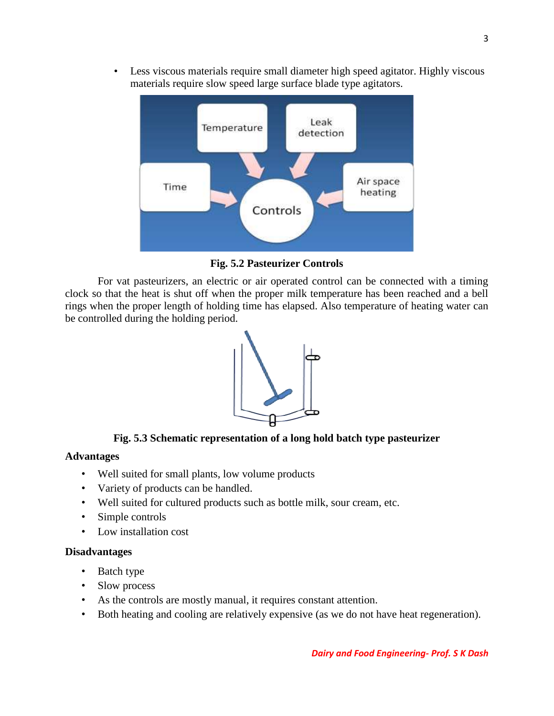• Less viscous materials require small diameter high speed agitator. Highly viscous materials require slow speed large surface blade type agitators.



**Fig. 5.2 Pasteurizer Controls**

For vat pasteurizers, an electric or air operated control can be connected with a timing clock so that the heat is shut off when the proper milk temperature has been reached and a bell rings when the proper length of holding time has elapsed. Also temperature of heating water can be controlled during the holding period.



### **Fig. 5.3 Schematic representation of a long hold batch type pasteurizer**

#### **Advantages**

- Well suited for small plants, low volume products
- Variety of products can be handled.
- Well suited for cultured products such as bottle milk, sour cream, etc.
- Simple controls
- Low installation cost

#### **Disadvantages**

- Batch type
- Slow process
- As the controls are mostly manual, it requires constant attention.
- Both heating and cooling are relatively expensive (as we do not have heat regeneration).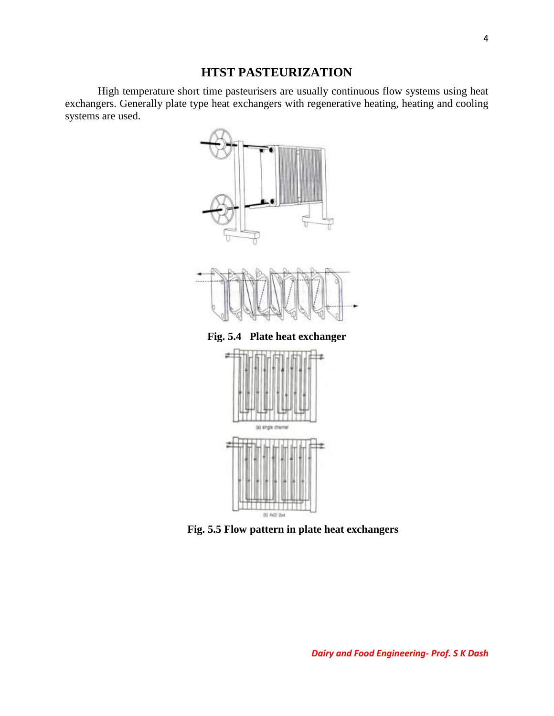## **HTST PASTEURIZATION**

High temperature short time pasteurisers are usually continuous flow systems using heat exchangers. Generally plate type heat exchangers with regenerative heating, heating and cooling systems are used.



(b) 4x2/ 2x4

**Fig. 5.5 Flow pattern in plate heat exchangers**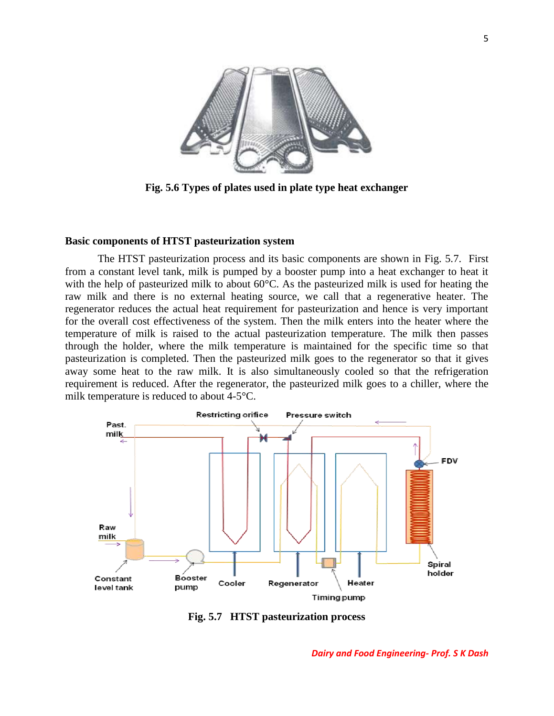

**Fig. 5.6 Types of plates used in plate type heat exchanger**

#### **Basic components of HTST pasteurization system**

The HTST pasteurization process and its basic components are shown in Fig. 5.7. First from a constant level tank, milk is pumped by a booster pump into a heat exchanger to heat it with the help of pasteurized milk to about 60°C. As the pasteurized milk is used for heating the raw milk and there is no external heating source, we call that a regenerative heater. The regenerator reduces the actual heat requirement for pasteurization and hence is very important for the overall cost effectiveness of the system. Then the milk enters into the heater where the temperature of milk is raised to the actual pasteurization temperature. The milk then passes through the holder, where the milk temperature is maintained for the specific time so that pasteurization is completed. Then the pasteurized milk goes to the regenerator so that it gives away some heat to the raw milk. It is also simultaneously cooled so that the refrigeration requirement is reduced. After the regenerator, the pasteurized milk goes to a chiller, where the milk temperature is reduced to about 4-5°C.



**Fig. 5.7 HTST pasteurization process**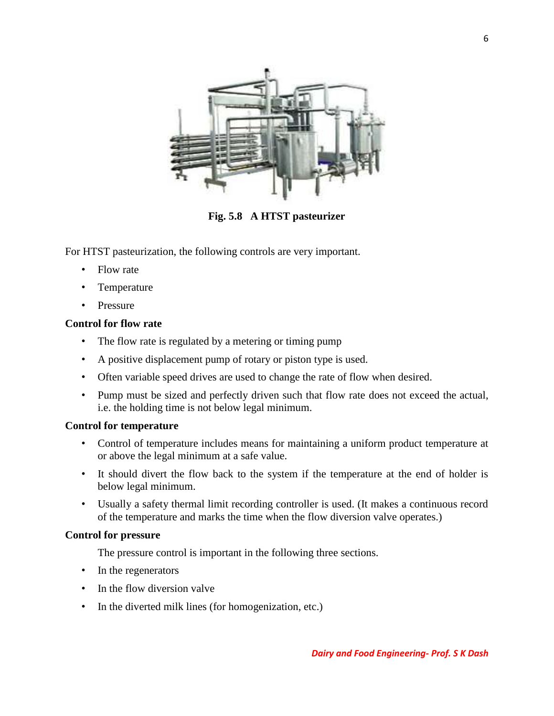

**Fig. 5.8 A HTST pasteurizer**

For HTST pasteurization, the following controls are very important.

- Flow rate
- Temperature
- Pressure

#### **Control for flow rate**

- The flow rate is regulated by a metering or timing pump
- A positive displacement pump of rotary or piston type is used.
- Often variable speed drives are used to change the rate of flow when desired.
- Pump must be sized and perfectly driven such that flow rate does not exceed the actual, i.e. the holding time is not below legal minimum.

#### **Control for temperature**

- Control of temperature includes means for maintaining a uniform product temperature at or above the legal minimum at a safe value.
- It should divert the flow back to the system if the temperature at the end of holder is below legal minimum.
- Usually a safety thermal limit recording controller is used. (It makes a continuous record of the temperature and marks the time when the flow diversion valve operates.)

#### **Control for pressure**

The pressure control is important in the following three sections.

- In the regenerators
- In the flow diversion valve
- In the diverted milk lines (for homogenization, etc.)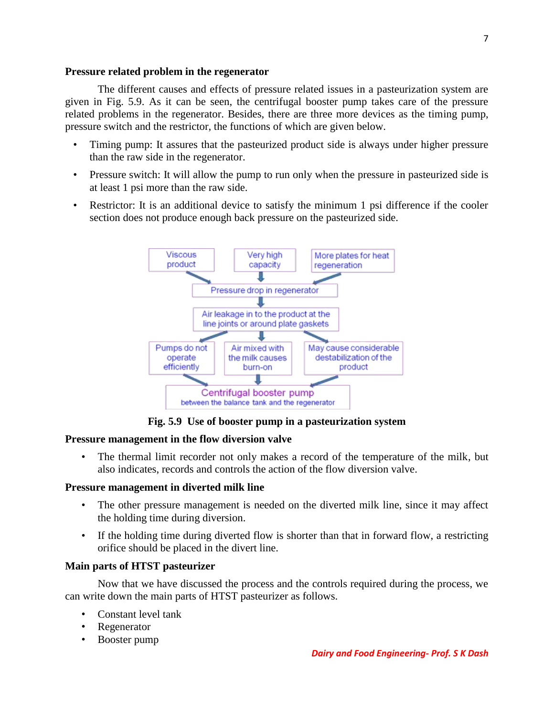#### **Pressure related problem in the regenerator**

The different causes and effects of pressure related issues in a pasteurization system are given in Fig. 5.9. As it can be seen, the centrifugal booster pump takes care of the pressure related problems in the regenerator. Besides, there are three more devices as the timing pump, pressure switch and the restrictor, the functions of which are given below.

- Timing pump: It assures that the pasteurized product side is always under higher pressure than the raw side in the regenerator.
- Pressure switch: It will allow the pump to run only when the pressure in pasteurized side is at least 1 psi more than the raw side.
- Restrictor: It is an additional device to satisfy the minimum 1 psi difference if the cooler section does not produce enough back pressure on the pasteurized side.



**Fig. 5.9 Use of booster pump in a pasteurization system** 

### **Pressure management in the flow diversion valve**

• The thermal limit recorder not only makes a record of the temperature of the milk, but also indicates, records and controls the action of the flow diversion valve.

#### **Pressure management in diverted milk line**

- The other pressure management is needed on the diverted milk line, since it may affect the holding time during diversion.
- If the holding time during diverted flow is shorter than that in forward flow, a restricting orifice should be placed in the divert line.

### **Main parts of HTST pasteurizer**

Now that we have discussed the process and the controls required during the process, we can write down the main parts of HTST pasteurizer as follows.

- Constant level tank
- Regenerator
- Booster pump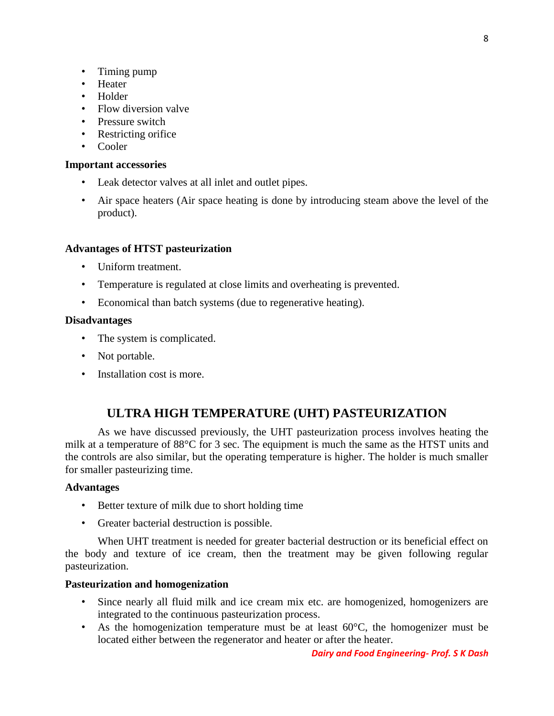- Timing pump
- Heater
- Holder
- Flow diversion valve
- Pressure switch
- Restricting orifice
- Cooler

#### **Important accessories**

- Leak detector valves at all inlet and outlet pipes.
- Air space heaters (Air space heating is done by introducing steam above the level of the product).

#### **Advantages of HTST pasteurization**

- Uniform treatment.
- Temperature is regulated at close limits and overheating is prevented.
- Economical than batch systems (due to regenerative heating).

#### **Disadvantages**

- The system is complicated.
- Not portable.
- Installation cost is more.

### **ULTRA HIGH TEMPERATURE (UHT) PASTEURIZATION**

As we have discussed previously, the UHT pasteurization process involves heating the milk at a temperature of 88°C for 3 sec. The equipment is much the same as the HTST units and the controls are also similar, but the operating temperature is higher. The holder is much smaller for smaller pasteurizing time.

#### **Advantages**

- Better texture of milk due to short holding time
- Greater bacterial destruction is possible.

When UHT treatment is needed for greater bacterial destruction or its beneficial effect on the body and texture of ice cream, then the treatment may be given following regular pasteurization.

#### **Pasteurization and homogenization**

- Since nearly all fluid milk and ice cream mix etc. are homogenized, homogenizers are integrated to the continuous pasteurization process.
- As the homogenization temperature must be at least  $60^{\circ}$ C, the homogenizer must be located either between the regenerator and heater or after the heater.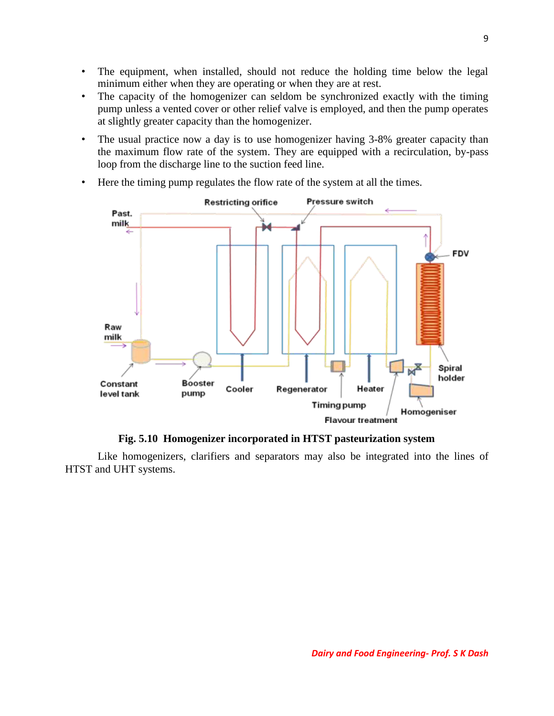- The equipment, when installed, should not reduce the holding time below the legal minimum either when they are operating or when they are at rest.
- The capacity of the homogenizer can seldom be synchronized exactly with the timing pump unless a vented cover or other relief valve is employed, and then the pump operates at slightly greater capacity than the homogenizer.
- The usual practice now a day is to use homogenizer having 3-8% greater capacity than the maximum flow rate of the system. They are equipped with a recirculation, by-pass loop from the discharge line to the suction feed line.



• Here the timing pump regulates the flow rate of the system at all the times.

**Fig. 5.10 Homogenizer incorporated in HTST pasteurization system**

Like homogenizers, clarifiers and separators may also be integrated into the lines of HTST and UHT systems.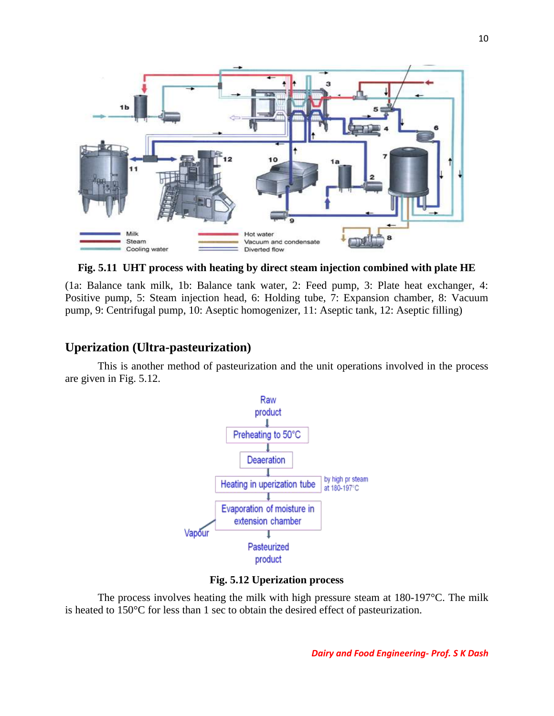

**Fig. 5.11 UHT process with heating by direct steam injection combined with plate HE**

(1a: Balance tank milk, 1b: Balance tank water, 2: Feed pump, 3: Plate heat exchanger, 4: Positive pump, 5: Steam injection head, 6: Holding tube, 7: Expansion chamber, 8: Vacuum pump, 9: Centrifugal pump, 10: Aseptic homogenizer, 11: Aseptic tank, 12: Aseptic filling)

### **Uperization (Ultra-pasteurization)**

This is another method of pasteurization and the unit operations involved in the process are given in Fig. 5.12.



**Fig. 5.12 Uperization process**

The process involves heating the milk with high pressure steam at  $180-197$ °C. The milk is heated to 150°C for less than 1 sec to obtain the desired effect of pasteurization.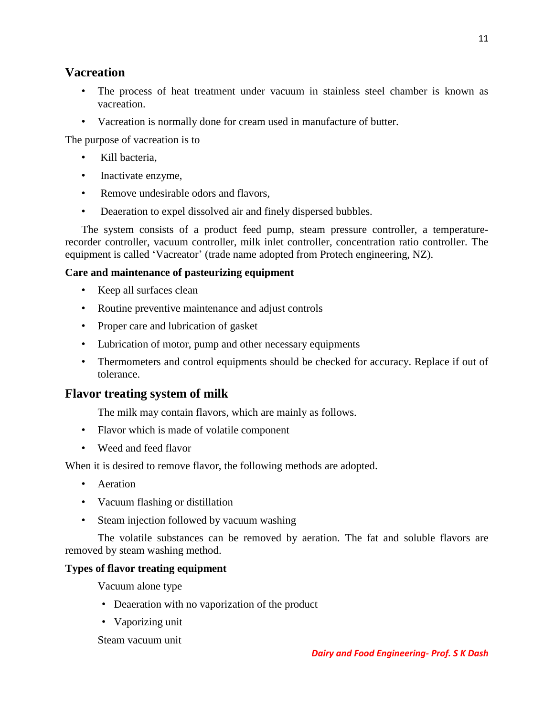### **Vacreation**

- The process of heat treatment under vacuum in stainless steel chamber is known as vacreation.
- Vacreation is normally done for cream used in manufacture of butter.

The purpose of vacreation is to

- Kill bacteria.
- Inactivate enzyme,
- Remove undesirable odors and flavors,
- Deaeration to expel dissolved air and finely dispersed bubbles.

The system consists of a product feed pump, steam pressure controller, a temperaturerecorder controller, vacuum controller, milk inlet controller, concentration ratio controller. The equipment is called 'Vacreator' (trade name adopted from Protech engineering, NZ).

### **Care and maintenance of pasteurizing equipment**

- Keep all surfaces clean
- Routine preventive maintenance and adjust controls
- Proper care and lubrication of gasket
- Lubrication of motor, pump and other necessary equipments
- Thermometers and control equipments should be checked for accuracy. Replace if out of tolerance.

## **Flavor treating system of milk**

The milk may contain flavors, which are mainly as follows.

- Flavor which is made of volatile component
- Weed and feed flavor

When it is desired to remove flavor, the following methods are adopted.

- Aeration
- Vacuum flashing or distillation
- Steam injection followed by vacuum washing

The volatile substances can be removed by aeration. The fat and soluble flavors are removed by steam washing method.

### **Types of flavor treating equipment**

Vacuum alone type

- Deaeration with no vaporization of the product
- Vaporizing unit

#### Steam vacuum unit